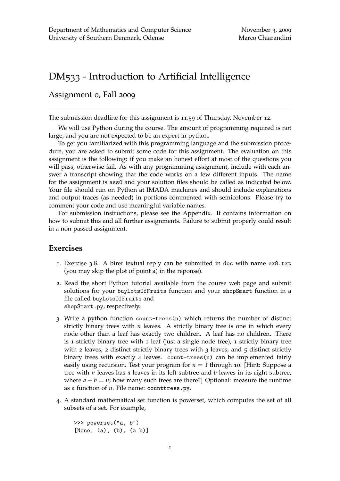## DM533 - Introduction to Artificial Intelligence

## Assignment 0, Fall 2009

The submission deadline for this assignment is 11.59 of Thursday, November 12.

We will use Python during the course. The amount of programming required is not large, and you are not expected to be an expert in python.

To get you familiarized with this programming language and the submission procedure, you are asked to submit some code for this assignment. The evaluation on this assignment is the following: if you make an honest effort at most of the questions you will pass, otherwise fail. As with any programming assignment, include with each answer a transcript showing that the code works on a few different inputs. The name for the assignment is ass0 and your solution files should be called as indicated below. Your file should run on Python at IMADA machines and should include explanations and output traces (as needed) in portions commented with semicolons. Please try to comment your code and use meaningful variable names.

For submission instructions, please see the Appendix. It contains information on how to submit this and all further assignments. Failure to submit properly could result in a non-passed assignment.

## **Exercises**

- 1. Exercise 3.8. A biref textual reply can be submitted in doc with name ex8.txt (you may skip the plot of point a) in the reponse).
- 2. Read the short Python tutorial available from the course web page and submit solutions for your buyLotsOfFruits function and your shopSmart function in a file called buyLotsOfFruits and shopSmart.py, respectively.
- 3. Write a python function count-trees(n) which returns the number of distinct strictly binary trees with *n* leaves. A strictly binary tree is one in which every node other than a leaf has exactly two children. A leaf has no children. There is 1 strictly binary tree with 1 leaf (just a single node tree), 1 strictly binary tree with 2 leaves, 2 distinct strictly binary trees with  $3$  leaves, and  $5$  distinct strictly binary trees with exactly 4 leaves. count-trees(n) can be implemented fairly easily using recursion. Test your program for  $n = 1$  through 10. [Hint: Suppose a tree with *n* leaves has *a* leaves in its left subtree and *b* leaves in its right subtree, where  $a + b = n$ ; how many such trees are there?] Optional: measure the runtime as a function of *n*. File name: counttrees.py.
- 4. A standard mathematical set function is powerset, which computes the set of all subsets of a set. For example,

```
>>> powerset("a, b")
[None, (a), (b), (a b)]
```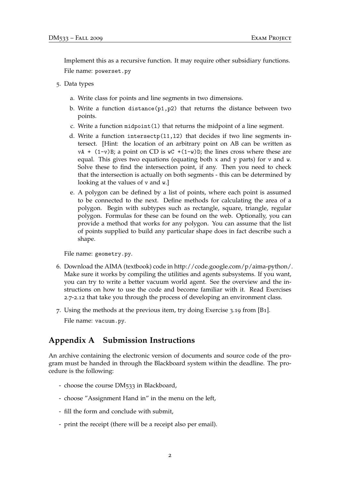Implement this as a recursive function. It may require other subsidiary functions. File name: powerset.py

- 5. Data types
	- a. Write class for points and line segments in two dimensions.
	- b. Write a function distance(p1,p2) that returns the distance between two points.
	- c. Write a function  $\text{midpoint}(1)$  that returns the midpoint of a line segment.
	- d. Write a function intersectp $(11,12)$  that decides if two line segments intersect. [Hint: the location of an arbitrary point on AB can be written as  $vA + (1-v)B$ ; a point on CD is  $wC + (1-w)D$ ; the lines cross where these are equal. This gives two equations (equating both  $x$  and  $y$  parts) for  $v$  and  $w$ . Solve these to find the intersection point, if any. Then you need to check that the intersection is actually on both segments - this can be determined by looking at the values of v and w.]
	- e. A polygon can be defined by a list of points, where each point is assumed to be connected to the next. Define methods for calculating the area of a polygon. Begin with subtypes such as rectangle, square, triangle, regular polygon. Formulas for these can be found on the web. Optionally, you can provide a method that works for any polygon. You can assume that the list of points supplied to build any particular shape does in fact describe such a shape.

File name: geometry.py.

- 6. Download the AIMA (textbook) code in http://code.google.com/p/aima-python/. Make sure it works by compiling the utilities and agents subsystems. If you want, you can try to write a better vacuum world agent. See the overview and the instructions on how to use the code and become familiar with it. Read Exercises 2.7-2.12 that take you through the process of developing an environment class.
- 7. Using the methods at the previous item, try doing Exercise 3.19 from [B1]. File name: vacuum.py.

## **Appendix A Submission Instructions**

An archive containing the electronic version of documents and source code of the program must be handed in through the Blackboard system within the deadline. The procedure is the following:

- choose the course DM533 in Blackboard,
- choose "Assignment Hand in" in the menu on the left,
- fill the form and conclude with submit,
- print the receipt (there will be a receipt also per email).